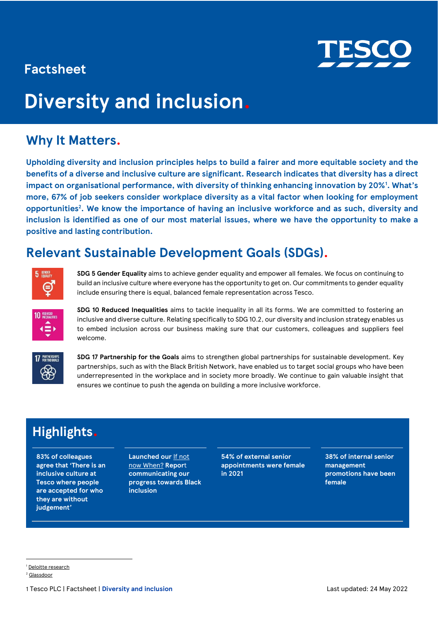

# **Factsheet**

# **Diversity and inclusion.**

# **Why It Matters.**

**Upholding diversity and inclusion principles helps to build a fairer and more equitable society and the benefits of a diverse and inclusive culture are significant. Research indicates that diversity has a direct impact on organisational performance, with diversity of thinking enhancing innovation by 20%<sup>1</sup> . What's more, 67% of job seekers consider workplace diversity as a vital factor when looking for employment opportunities<sup>2</sup> . We know the importance of having an inclusive workforce and as such, diversity and inclusion is identified as one of our most material issues, where we have the opportunity to make a positive and lasting contribution.** 

# **Relevant Sustainable Development Goals (SDGs).**



**SDG 5 Gender Equality** aims to achieve gender equality and empower all females. We focus on continuing to build an inclusive culture where everyone has the opportunity to get on. Our commitments to gender equality include ensuring there is equal, balanced female representation across Tesco.



**SDG 10 Reduced Inequalities** aims to tackle inequality in all its forms. We are committed to fostering an inclusive and diverse culture. Relating specifically to SDG 10.2, our diversity and inclusion strategy enables us to embed inclusion across our business making sure that our customers, colleagues and suppliers feel welcome.



**SDG 17 Partnership for the Goals** aims to strengthen global partnerships for sustainable development. Key partnerships, such as with the Black British Network, have enabled us to target social groups who have been underrepresented in the workplace and in society more broadly. We continue to gain valuable insight that ensures we continue to push the agenda on building a more inclusive workforce.

# **Highlights.**

**83% of colleagues agree that 'There is an inclusive culture at Tesco where people are accepted for who they are without judgement'**

**Launched our** [If not](https://www.tescoplc.com/media/758088/if-not-now-when-2021-report.pdf)  [now When?](https://www.tescoplc.com/media/758088/if-not-now-when-2021-report.pdf) **Repor**t **communicating our progress towards Black inclusion** 

**54% of external senior appointments were female in 2021** 

**38% of internal senior management promotions have been female** 

<sup>1</sup> [Deloitte research](https://www2.deloitte.com/us/en/insights/deloitte-review/issue-22/diversity-and-inclusion-at-work-eight-powerful-truths.html) 

<sup>2</sup> [Glassdoor](https://www.glassdoor.com/about-us/twothirds-people-diversity-important-deciding-work-glassdoor-survey-2/)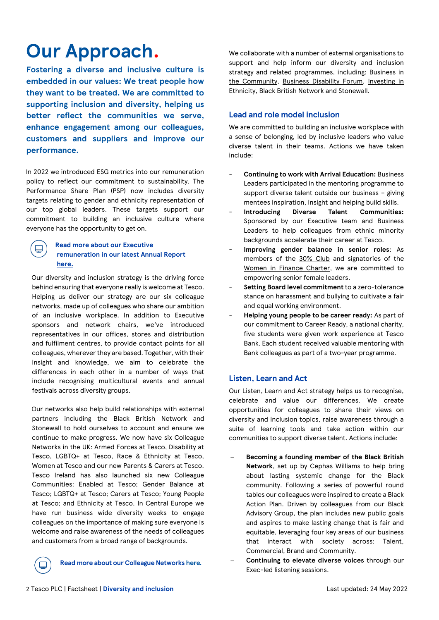# **Our Approach.**

**Fostering a diverse and inclusive culture is embedded in our values: We treat people how they want to be treated. We are committed to supporting inclusion and diversity, helping us better reflect the communities we serve, enhance engagement among our colleagues, customers and suppliers and improve our performance.**

In 2022 we introduced ESG metrics into our remuneration policy to reflect our commitment to sustainability. The Performance Share Plan (PSP) now includes diversity targets relating to gender and ethnicity representation of our top global leaders. These targets support our commitment to building an inclusive culture where everyone has the opportunity to get on.

#### **Read more about our Executive remuneration in our latest Annual Report [here.](http://www.tescoplc.com/ar22)**

Our diversity and inclusion strategy is the driving force behind ensuring that everyone really is welcome at Tesco. Helping us deliver our strategy are our six colleague networks, made up of colleagues who share our ambition of an inclusive workplace. In addition to Executive sponsors and network chairs, we've introduced representatives in our offices, stores and distribution and fulfilment centres, to provide contact points for all colleagues, wherever they are based. Together, with their insight and knowledge, we aim to celebrate the differences in each other in a number of ways that include recognising multicultural events and annual festivals across diversity groups.

Our networks also help build relationships with external partners including the Black British Network and Stonewall to hold ourselves to account and ensure we continue to make progress. We now have six Colleague Networks in the UK: Armed Forces at Tesco, Disability at Tesco, LGBTQ+ at Tesco, Race & Ethnicity at Tesco, Women at Tesco and our new Parents & Carers at Tesco. Tesco Ireland has also launched six new Colleague Communities: Enabled at Tesco; Gender Balance at Tesco; LGBTQ+ at Tesco; Carers at Tesco; Young People at Tesco; and Ethnicity at Tesco. In Central Europe we have run business wide diversity weeks to engage colleagues on the importance of making sure everyone is welcome and raise awareness of the needs of colleagues and customers from a broad range of backgrounds.

**Read more about our Colleague Network[s here](https://www.tescoplc.com/sustainability/documents/policies/how-we-create-an-inclusive-working-environment/)***.*

We collaborate with a number of external organisations to support and help inform our diversity and inclusion strategy and related programmes, including: [Business in](https://www.bitc.org.uk/)  [the Community,](https://www.bitc.org.uk/) [Business Disability Forum,](https://businessdisabilityforum.org.uk/) Investing in [Ethnicity,](https://investinginethnicity.org/) [Black British Network](http://www.blackbritishnetwork.com/) and [Stonewall.](https://www.stonewall.org.uk/)

# **Lead and role model inclusion**

We are committed to building an inclusive workplace with a sense of belonging, led by inclusive leaders who value diverse talent in their teams. Actions we have taken include:

- **Continuing to work with Arrival Education:** Business Leaders participated in the mentoring programme to support diverse talent outside our business – giving mentees inspiration, insight and helping build skills.
- **Introducing Diverse Talent Communities:** Sponsored by our Executive team and Business Leaders to help colleagues from ethnic minority backgrounds accelerate their career at Tesco.
- **Improving gender balance in senior roles**: As members of the [30% Club](https://30percentclub.org/) and signatories of the [Women in Finance Charter,](https://www.gov.uk/government/publications/women-in-finance-charter) we are committed to empowering senior female leaders.
- **Setting Board level commitment** to a zero-tolerance stance on harassment and bullying to cultivate a fair and equal working environment.
- **Helping young people to be career ready:** As part of our commitment to Career Ready, a national charity, five students were given work experience at Tesco Bank. Each student received valuable mentoring with Bank colleagues as part of a two-year programme.

### **Listen, Learn and Act**

Our Listen, Learn and Act strategy helps us to recognise, celebrate and value our differences. We create opportunities for colleagues to share their views on diversity and inclusion topics, raise awareness through a suite of learning tools and take action within our communities to support diverse talent. Actions include:

- − **Becoming a founding member of the Black British Network**, set up by Cephas Williams to help bring about lasting systemic change for the Black community. Following a series of powerful round tables our colleagues were inspired to create a Black Action Plan. Driven by colleagues from our Black Advisory Group, the plan includes new public goals and aspires to make lasting change that is fair and equitable, leveraging four key areas of our business that interact with society across: Talent, Commercial, Brand and Community.
- − **Continuing to elevate diverse voices** through our Exec-led listening sessions.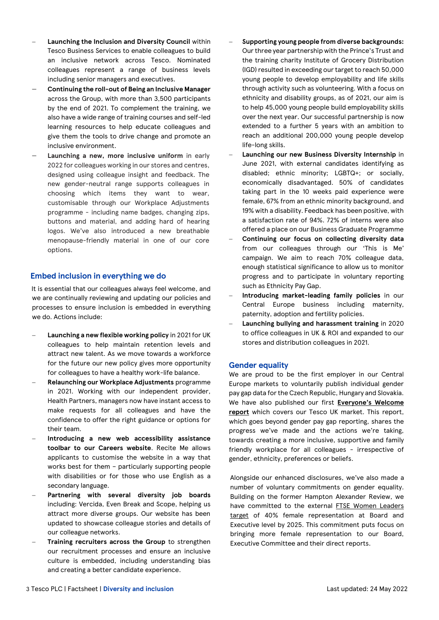- − **Launching the Inclusion and Diversity Council** within Tesco Business Services to enable colleagues to build an inclusive network across Tesco. Nominated colleagues represent a range of business levels including senior managers and executives.
- − **Continuing the roll-out of Being an Inclusive Manager**  across the Group, with more than 3,500 participants by the end of 2021. To complement the training, we also have a wide range of training courses and self-led learning resources to help educate colleagues and give them the tools to drive change and promote an inclusive environment.
- − **Launching a new, more inclusive uniform** in early 2022 for colleagues working in our stores and centres, designed using colleague insight and feedback. The new gender-neutral range supports colleagues in choosing which items they want to wear, customisable through our Workplace Adjustments programme - including name badges, changing zips, buttons and material, and adding hard of hearing logos. We've also introduced a new breathable menopause-friendly material in one of our core options.

## **Embed inclusion in everything we do**

It is essential that our colleagues always feel welcome, and we are continually reviewing and updating our policies and processes to ensure inclusion is embedded in everything we do. Actions include:

- − **Launching a new flexible working policy** in 2021 for UK colleagues to help maintain retention levels and attract new talent. As we move towards a workforce for the future our new policy gives more opportunity for colleagues to have a healthy work-life balance.
- − **Relaunching our Workplace Adjustments** programme in 2021. Working with our independent provider, Health Partners, managers now have instant access to make requests for all colleagues and have the confidence to offer the right guidance or options for their team.
- − **Introducing a new web accessibility assistance toolbar to our Careers website**. Recite Me allows applicants to customise the website in a way that works best for them – particularly supporting people with disabilities or for those who use English as a secondary language.
- − **Partnering with several diversity job boards** including: Vercida, Even Break and Scope, helping us attract more diverse groups. Our website has been updated to showcase colleague stories and details of our colleague networks.
- Training recruiters across the Group to strengthen our recruitment processes and ensure an inclusive culture is embedded, including understanding bias and creating a better candidate experience.
- − **Supporting young people from diverse backgrounds:**  Our three year partnership with the Prince's Trust and the training charity Institute of Grocery Distribution (IGD) resulted in exceeding our target to reach 50,000 young people to develop employability and life skills through activity such as volunteering. With a focus on ethnicity and disability groups, as of 2021, our aim is to help 45,000 young people build employability skills over the next year. Our successful partnership is now extended to a further 5 years with an ambition to reach an additional 200,000 young people develop life-long skills.
- − **Launching our new Business Diversity Internship** in June 2021, with external candidates identifying as disabled; ethnic minority; LGBTQ+; or socially, economically disadvantaged. 50% of candidates taking part in the 10 weeks paid experience were female, 67% from an ethnic minority background, and 19% with a disability. Feedback has been positive, with a satisfaction rate of 94%. 72% of interns were also offered a place on our Business Graduate Programme
- − **Continuing our focus on collecting diversity data** from our colleagues through our 'This is Me' campaign. We aim to reach 70% colleague data, enough statistical significance to allow us to monitor progress and to participate in voluntary reporting such as Ethnicity Pay Gap.
- − **Introducing market-leading family policies** in our Central Europe business including maternity, paternity, adoption and fertility policies.
- − **Launching bullying and harassment training** in 2020 to office colleagues in UK & ROI and expanded to our stores and distribution colleagues in 2021.

#### **Gender equality**

We are proud to be the first employer in our Central Europe markets to voluntarily publish individual gender pay gap data for the Czech Republic, Hungary and Slovakia. We have also published our first **[Everyone's Welcome](https://www.tescoplc.com/media/758486/tesco-everyones-welcome-report-2021_-final18march.pdf)  [report](https://www.tescoplc.com/media/758486/tesco-everyones-welcome-report-2021_-final18march.pdf)** which covers our Tesco UK market. This report, which goes beyond gender pay gap reporting, shares the progress we've made and the actions we're taking, towards creating a more inclusive, supportive and family friendly workplace for all colleagues - irrespective of gender, ethnicity, preferences or beliefs.

Alongside our enhanced disclosures, we've also made a number of voluntary commitments on gender equality. Building on the former Hampton Alexander Review, we have committed to the external FTSE Women Leaders [target](https://ftsewomenleaders.com/targets-progress/) of 40% female representation at Board and Executive level by 2025. This commitment puts focus on bringing more female representation to our Board, Executive Committee and their direct reports.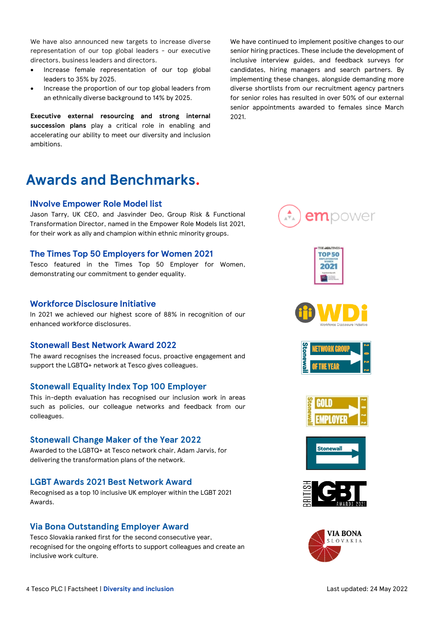We have also announced new targets to increase diverse representation of our top global leaders - our executive directors, business leaders and directors.

- Increase female representation of our top global leaders to 35% by 2025.
- Increase the proportion of our top global leaders from an ethnically diverse background to 14% by 2025.

**Executive external resourcing and strong internal succession plans** play a critical role in enabling and accelerating our ability to meet our diversity and inclusion ambitions.

# **Awards and Benchmarks.**

#### **INvolve Empower Role Model list**

Jason Tarry, UK CEO, and Jasvinder Deo, Group Risk & Functional Transformation Director, named in the Empower Role Models list 2021, for their work as ally and champion within ethnic minority groups.

#### **The Times Top 50 Employers for Women 2021**

Tesco featured in the Times Top 50 Employer for Women, demonstrating our commitment to gender equality.

#### **Workforce Disclosure Initiative**

In 2021 we achieved our highest score of 88% in recognition of our enhanced workforce disclosures.

#### **Stonewall Best Network Award 2022**

The award recognises the increased focus, proactive engagement and support the LGBTQ+ network at Tesco gives colleagues.

#### **Stonewall Equality Index Top 100 Employer**

This in-depth evaluation has recognised our inclusion work in areas such as policies, our colleague networks and feedback from our colleagues.

### **Stonewall Change Maker of the Year 2022**

Awarded to the LGBTQ+ at Tesco network chair, Adam Jarvis, for delivering the transformation plans of the network.

#### **LGBT Awards 2021 Best Network Award**

Recognised as a top 10 inclusive UK employer within the LGBT 2021 Awards.

#### **Via Bona Outstanding Employer Award**

Tesco Slovakia ranked first for the second consecutive year, recognised for the ongoing efforts to support colleagues and create an inclusive work culture.

We have continued to implement positive changes to our senior hiring practices. These include the development of inclusive interview guides, and feedback surveys for candidates, hiring managers and search partners. By implementing these changes, alongside demanding more diverse shortlists from our recruitment agency partners for senior roles has resulted in over 50% of our external senior appointments awarded to females since March 2021.















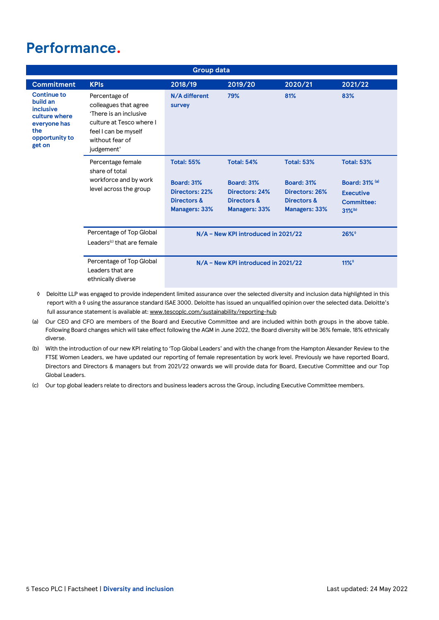# **Performance.**

| <b>Group data</b>                                                                                                      |                                                                                                                                                       |                                                                                                 |                                                                                          |                                                                                                 |                                                                                                              |  |
|------------------------------------------------------------------------------------------------------------------------|-------------------------------------------------------------------------------------------------------------------------------------------------------|-------------------------------------------------------------------------------------------------|------------------------------------------------------------------------------------------|-------------------------------------------------------------------------------------------------|--------------------------------------------------------------------------------------------------------------|--|
| <b>Commitment</b>                                                                                                      | <b>KPIs</b>                                                                                                                                           | 2018/19                                                                                         | 2019/20                                                                                  | 2020/21                                                                                         | 2021/22                                                                                                      |  |
| <b>Continue to</b><br>build an<br><b>inclusive</b><br>culture where<br>everyone has<br>the<br>opportunity to<br>get on | Percentage of<br>colleagues that agree<br>'There is an inclusive<br>culture at Tesco where I<br>feel I can be myself<br>without fear of<br>judgement' | N/A different<br>survey                                                                         | 79%                                                                                      | 81%                                                                                             | 83%                                                                                                          |  |
|                                                                                                                        | Percentage female<br>share of total<br>workforce and by work<br>level across the group                                                                | <b>Total: 55%</b><br><b>Board: 31%</b><br>Directors: 22%<br>Directors &<br><b>Managers: 33%</b> | <b>Total: 54%</b><br><b>Board: 31%</b><br>Directors: 24%<br>Directors &<br>Managers: 33% | <b>Total: 53%</b><br><b>Board: 31%</b><br>Directors: 26%<br>Directors &<br><b>Managers: 33%</b> | <b>Total: 53%</b><br><b>Board: 31% (a)</b><br><b>Executive</b><br><b>Committee:</b><br>$31\%$ <sup>(b)</sup> |  |
|                                                                                                                        | Percentage of Top Global<br>Leaders <sup>(c)</sup> that are female                                                                                    | N/A - New KPI introduced in 2021/22                                                             |                                                                                          |                                                                                                 | $26\%$                                                                                                       |  |
|                                                                                                                        | Percentage of Top Global<br>Leaders that are<br>ethnically diverse                                                                                    | N/A - New KPI introduced in 2021/22                                                             |                                                                                          |                                                                                                 | $11\%$                                                                                                       |  |

- ◊ Deloitte LLP was engaged to provide independent limited assurance over the selected diversity and inclusion data highlighted in this report with a ◊ using the assurance standard ISAE 3000. Deloitte has issued an unqualified opinion over the selected data. Deloitte's full assurance statement is available at: [www.tescoplc.com/sustainability/reporting-hub](http://www.tescoplc.com/sustainability/reporting-hub)
- (a) Our CEO and CFO are members of the Board and Executive Committee and are included within both groups in the above table. Following Board changes which will take effect following the AGM in June 2022, the Board diversity will be 36% female, 18% ethnically diverse.
- (b) With the introduction of our new KPI relating to 'Top Global Leaders' and with the change from the Hampton Alexander Review to the FTSE Women Leaders, we have updated our reporting of female representation by work level. Previously we have reported Board, Directors and Directors & managers but from 2021/22 onwards we will provide data for Board, Executive Committee and our Top Global Leaders.
- (c) Our top global leaders relate to directors and business leaders across the Group, including Executive Committee members.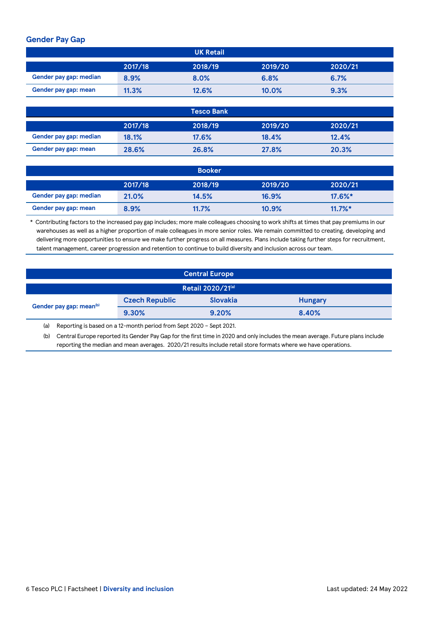# **Gender Pay Gap**

|                        |         | <b>UK Retail</b>  |         |         |
|------------------------|---------|-------------------|---------|---------|
|                        | 2017/18 | 2018/19           | 2019/20 | 2020/21 |
| Gender pay gap: median | 8.9%    | 8.0%              | 6.8%    | 6.7%    |
| Gender pay gap: mean   | 11.3%   | 12.6%             | 10.0%   | 9.3%    |
|                        |         |                   |         |         |
|                        |         | <b>Tesco Bank</b> |         |         |
|                        | 2017/18 | 2018/19           | 2019/20 | 2020/21 |
| Gender pay gap: median | 18.1%   | 17.6%             | 18.4%   | 12.4%   |

|                        |         | <b>Booker</b> |         |            |
|------------------------|---------|---------------|---------|------------|
|                        | 2017/18 | 2018/19       | 2019/20 | 2020/21    |
| Gender pay gap: median | 21.0%   | 14.5%         | 16.9%   | $17.6\%$ * |
| Gender pay gap: mean   | 8.9%    | 11.7%         | 10.9%   | $11.7\%$ * |

**Gender pay gap: mean 28.6% 26.8% 27.8% 20.3%**

\* Contributing factors to the increased pay gap includes; more male colleagues choosing to work shifts at times that pay premiums in our warehouses as well as a higher proportion of male colleagues in more senior roles. We remain committed to creating, developing and delivering more opportunities to ensure we make further progress on all measures. Plans include taking further steps for recruitment, talent management, career progression and retention to continue to build diversity and inclusion across our team.

| <b>Central Europe</b>               |                       |                 |                |  |  |
|-------------------------------------|-----------------------|-----------------|----------------|--|--|
| Retail 2020/21(a)                   |                       |                 |                |  |  |
| Gender pay gap: mean <sup>(b)</sup> | <b>Czech Republic</b> | <b>Slovakia</b> | <b>Hungary</b> |  |  |
|                                     | 9.30%                 | 9.20%           | 8.40%          |  |  |

(a) Reporting is based on a 12-month period from Sept 2020 – Sept 2021.

(b) Central Europe reported its Gender Pay Gap for the first time in 2020 and only includes the mean average. Future plans include reporting the median and mean averages. 2020/21 results include retail store formats where we have operations.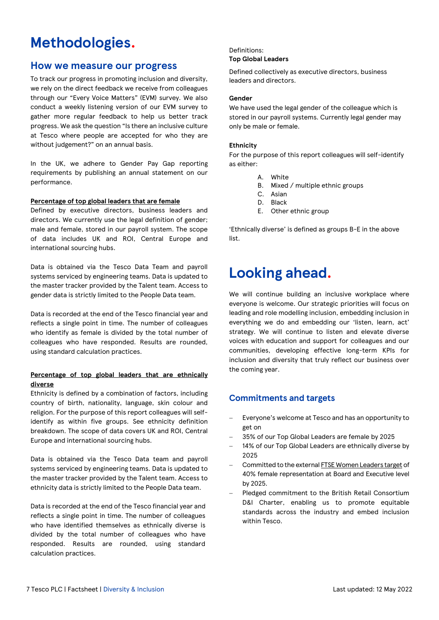# **Methodologies.**

# **How we measure our progress**

To track our progress in promoting inclusion and diversity, we rely on the direct feedback we receive from colleagues through our "Every Voice Matters" (EVM) survey. We also conduct a weekly listening version of our EVM survey to gather more regular feedback to help us better track progress. We ask the question "Is there an inclusive culture at Tesco where people are accepted for who they are without judgement?" on an annual basis.

In the UK, we adhere to Gender Pay Gap reporting requirements by publishing an annual statement on our performance.

#### **Percentage of top global leaders that are female**

Defined by executive directors, business leaders and directors. We currently use the legal definition of gender; male and female, stored in our payroll system. The scope of data includes UK and ROI, Central Europe and international sourcing hubs.

Data is obtained via the Tesco Data Team and payroll systems serviced by engineering teams. Data is updated to the master tracker provided by the Talent team. Access to gender data is strictly limited to the People Data team.

Data is recorded at the end of the Tesco financial year and reflects a single point in time. The number of colleagues who identify as female is divided by the total number of colleagues who have responded. Results are rounded, using standard calculation practices.

#### **Percentage of top global leaders that are ethnically diverse**

Ethnicity is defined by a combination of factors, including country of birth, nationality, language, skin colour and religion. For the purpose of this report colleagues will selfidentify as within five groups. See ethnicity definition breakdown. The scope of data covers UK and ROI, Central Europe and international sourcing hubs.

Data is obtained via the Tesco Data team and payroll systems serviced by engineering teams. Data is updated to the master tracker provided by the Talent team. Access to ethnicity data is strictly limited to the People Data team.

Data is recorded at the end of the Tesco financial year and reflects a single point in time. The number of colleagues who have identified themselves as ethnically diverse is divided by the total number of colleagues who have responded. Results are rounded, using standard calculation practices.

#### Definitions: **Top Global Leaders**

Defined collectively as executive directors, business leaders and directors.

#### **Gender**

We have used the legal gender of the colleague which is stored in our payroll systems. Currently legal gender may only be male or female.

#### **Ethnicity**

For the purpose of this report colleagues will self-identify as either:

- A. White
- B. Mixed / multiple ethnic groups
- C. Asian
- D. Black
- E. Other ethnic group

'Ethnically diverse' is defined as groups B-E in the above list.

# **Looking ahead.**

We will continue building an inclusive workplace where everyone is welcome. Our strategic priorities will focus on leading and role modelling inclusion, embedding inclusion in everything we do and embedding our 'listen, learn, act' strategy. We will continue to listen and elevate diverse voices with education and support for colleagues and our communities, developing effective long-term KPIs for inclusion and diversity that truly reflect our business over the coming year.

# **Commitments and targets**

- Everyone's welcome at Tesco and has an opportunity to get on
- − 35% of our Top Global Leaders are female by 2025
- 14% of our Top Global Leaders are ethnically diverse by 2025
- − Committed to the external [FTSE Women Leaders target](https://ftsewomenleaders.com/targets-progress/) of 40% female representation at Board and Executive level by 2025.
- − Pledged commitment to the British Retail Consortium D&I Charter, enabling us to promote equitable standards across the industry and embed inclusion within Tesco.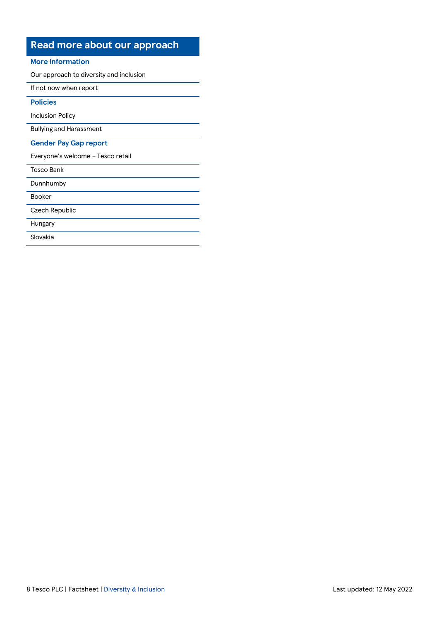# **Read more about our approach**

#### **More information**

[Our approach to diversity and inclusion](https://www.tescoplc.com/sustainability/taking-action/diversity/)

[If not now when report](https://www.tescoplc.com/media/758088/if-not-now-when-2021-report.pdf)

# **Policies**

[Inclusion Policy](https://www.tescoplc.com/sustainability/documents/policies/how-we-create-an-inclusive-working-environment/)

[Bullying and Harassment](https://www.tescoplc.com/sustainability/documents/policies/bullying-and-harassment/)

#### **Gender Pay Gap report**

[Everyone's welcome –](https://www.tescoplc.com/media/758508/tesco-everyones-welcome-report-2021-7.pdf) Tesco retail

[Dunnhumby](https://www.tescoplc.com/media/758470/dunnhumby-gender-pay-report-2021.pdf)

[Booker](https://www.tescoplc.com/media/758474/booker-gender-pay-report-2021.pdf)

[Czech Republic](https://corporate.itesco.cz/novinky/2021/tesco-zve%C5%99ejnilo-prvn%C3%AD-zpr%C3%A1vu-o-diverzit%C4%9B-a-inkluzi/)

[Hungary](https://corporate.tesco.hu/fenntarthat%C3%B3s%C3%A1g-new/munkat%C3%A1rsak/a-tesc%C3%B3n%C3%A1l-mindenkit-sz%C3%ADvesen-l%C3%A1tunk/)

[Slovakia](https://corporate.tesco.sk/udrzatelne-podnikanie/ludia/diverzita-a-inkluzia/)